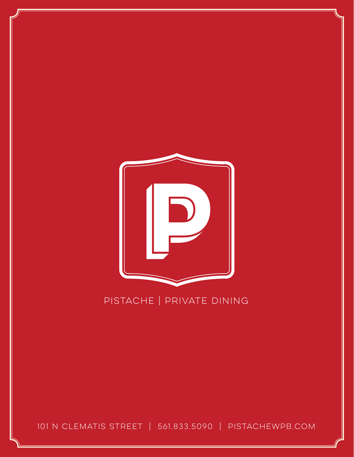

# PISTACHE | PRIVATE DINING

101 N CLEMATIS STREET | 561.833.5090 | PISTACHEWPB.COM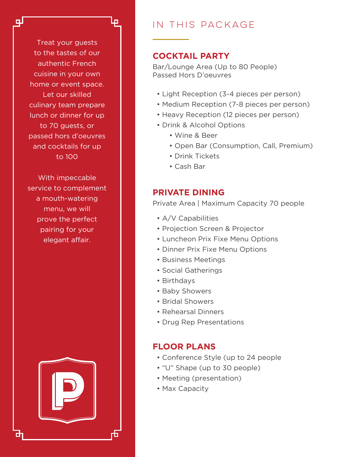Treat your guests to the tastes of our authentic French cuisine in your own home or event space. Let our skilled culinary team prepare lunch or dinner for up to 70 guests, or passed hors d'oeuvres and cocktails for up to 100

G

ш

With impeccable service to complement a mouth-watering menu, we will prove the perfect pairing for your elegant affair.



# in this package

# **COCKTAIL PARTY**

Bar/Lounge Area (Up to 80 People) Passed Hors D'oeuvres

- Light Reception (3-4 pieces per person)
- Medium Reception (7-8 pieces per person)
- Heavy Reception (12 pieces per person)
- Drink & Alcohol Options
	- Wine & Beer
	- Open Bar (Consumption, Call, Premium)
	- Drink Tickets
	- Cash Bar

# **PRIVATE DINING**

Private Area | Maximum Capacity 70 people

- A/V Capabilities
- Projection Screen & Projector
- Luncheon Prix Fixe Menu Options
- Dinner Prix Fixe Menu Options
- Business Meetings
- Social Gatherings
- Birthdays
- Baby Showers
- Bridal Showers
- Rehearsal Dinners
- Drug Rep Presentations

## **FLOOR PLANS**

- Conference Style (up to 24 people
- "U" Shape (up to 30 people)
- Meeting (presentation)
- Max Capacity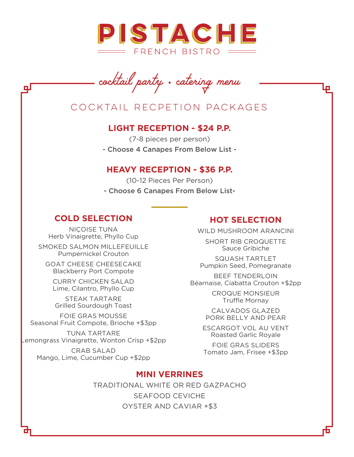

*cocktail party* • *catering menu*

# Cocktail recpetion packages

## **LIGHT RECEPTION - \$24 P.P.**

(7-8 pieces per person) - Choose 4 Canapes From Below List -

#### **HEAVY RECEPTION - \$36 P.P.**

(10-12 Pieces Per Person) - Choose 6 Canapes From Below List-

# **COLD SELECTION**

NIÇOISE TUNA Herb Vinaigrette, Phyllo Cup

SMOKED SALMON MILLEFEUILLE Pumpernickel Crouton

GOAT CHEESE CHEESECAKE Blackberry Port Compote

CURRY CHICKEN SALAD Lime, Cilantro, Phyllo Cup

STEAK TARTARE Grilled Sourdough Toast

FOIE GRAS MOUSSE Seasonal Fruit Compote, Brioche +\$3pp

TUNA TARTARE Lemongrass Vinaigrette, Wonton Crisp +\$2pp

CRAB SALAD Mango, Lime, Cucumber Cup +\$2pp

# **HOT SELECTION**

WILD MUSHROOM ARANCINI

SHORT RIB CROQUETTE Sauce Gribiche

SQUASH TARTLET Pumpkin Seed, Pomegranate

BEEF TENDERLOIN Béarnaise, Ciabatta Crouton +\$2pp

> CROQUE MONSIEUR Truffle Mornay

CALVADOS GLAZED PORK BELLY AND PEAR

ESCARGOT VOL AU VENT Roasted Garlic Royale

FOIE GRAS SLIDERS Tomato Jam, Frisee +\$3pp

### **MINI VERRINES**

TRADITIONAL WHITE OR RED GAZPACHO SEAFOOD CEVICHE OYSTER AND CAVIAR +\$3

цI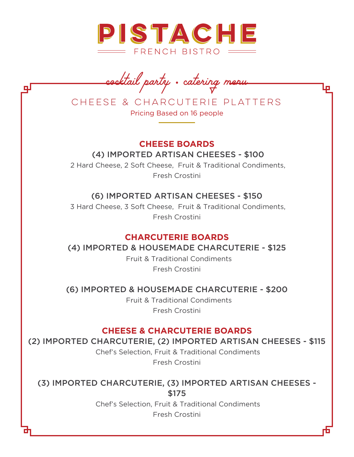

*cocktail party* • *catering menu*

CHEESE & CHARCUTERIE PLATTERS Pricing Based on 16 people

# **CHEESE BOARDS** (4) IMPORTED ARTISAN CHEESES - \$100

 2 Hard Cheese, 2 Soft Cheese, Fruit & Traditional Condiments, Fresh Crostini

# (6) IMPORTED ARTISAN CHEESES - \$150

 3 Hard Cheese, 3 Soft Cheese, Fruit & Traditional Condiments, Fresh Crostini

# **CHARCUTERIE BOARDS**

# (4) IMPORTED & HOUSEMADE CHARCUTERIE - \$125

 Fruit & Traditional Condiments Fresh Crostini

# (6) IMPORTED & HOUSEMADE CHARCUTERIE - \$200

 Fruit & Traditional Condiments Fresh Crostini

# **CHEESE & CHARCUTERIE BOARDS**

# (2) IMPORTED CHARCUTERIE, (2) IMPORTED ARTISAN CHEESES - \$115

 Chef's Selection, Fruit & Traditional Condiments Fresh Crostini

(3) IMPORTED CHARCUTERIE, (3) IMPORTED ARTISAN CHEESES - \$175

> Chef's Selection, Fruit & Traditional Condiments Fresh Crostini

оμ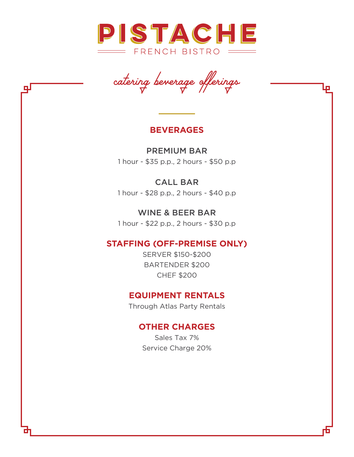

*catering beverage offerings*

## **BEVERAGES**

PREMIUM BAR 1 hour - \$35 p.p., 2 hours - \$50 p.p

# CALL BAR

1 hour - \$28 p.p., 2 hours - \$40 p.p

WINE & BEER BAR 1 hour - \$22 p.p., 2 hours - \$30 p.p

# **STAFFING (OFF-PREMISE ONLY)**

SERVER \$150-\$200 BARTENDER \$200 CHEF \$200

# **EQUIPMENT RENTALS**

Through Atlas Party Rentals

# **OTHER CHARGES**

Sales Tax 7% Service Charge 20%

뎊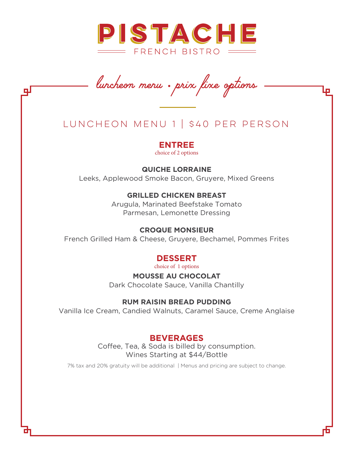

*luncheon menu* • *prix fixe options*

F

цI

# LUNCHEON MENU 1 | \$40 PER PERSON

**ENTREE** choice of 2 options

#### **QUICHE LORRAINE**

Leeks, Applewood Smoke Bacon, Gruyere, Mixed Greens

#### **GRILLED CHICKEN BREAST**

Arugula, Marinated Beefstake Tomato Parmesan, Lemonette Dressing

#### **CROQUE MONSIEUR**

French Grilled Ham & Cheese, Gruyere, Bechamel, Pommes Frites

#### **DESSERT**

choice of 1 options

**MOUSSE AU CHOCOLAT** Dark Chocolate Sauce, Vanilla Chantilly

#### **RUM RAISIN BREAD PUDDING**

Vanilla Ice Cream, Candied Walnuts, Caramel Sauce, Creme Anglaise

### **BEVERAGES**

Coffee, Tea, & Soda is billed by consumption. Wines Starting at \$44/Bottle

7% tax and 20% gratuity will be additional | Menus and pricing are subject to change.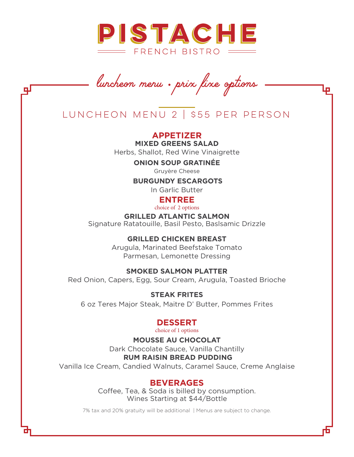

*luncheon menu* • *prix fixe options*

LUNCHEON MENU 2 | \$55 PER PERSON

**APPETIZER MIXED GREENS SALAD** Herbs, Shallot, Red Wine Vinaigrette

**ONION SOUP GRATINÉE**

Gruyère Cheese

**BURGUNDY ESCARGOTS**

In Garlic Butter

### **ENTREE**

choice of 2 options

**GRILLED ATLANTIC SALMON** Signature Ratatouille, Basil Pesto, Baslsamic Drizzle

> **GRILLED CHICKEN BREAST** Arugula, Marinated Beefstake Tomato

Parmesan, Lemonette Dressing

**SMOKED SALMON PLATTER**

Red Onion, Capers, Egg, Sour Cream, Arugula, Toasted Brioche

**STEAK FRITES** 6 oz Teres Major Steak, Maitre D' Butter, Pommes Frites

#### **DESSERT**

choice of 1 options

**MOUSSE AU CHOCOLAT** Dark Chocolate Sauce, Vanilla Chantilly **RUM RAISIN BREAD PUDDING**

Vanilla Ice Cream, Candied Walnuts, Caramel Sauce, Creme Anglaise

### **BEVERAGES**

Coffee, Tea, & Soda is billed by consumption. Wines Starting at \$44/Bottle

7% tax and 20% gratuity will be additional | Menus are subject to change.

டி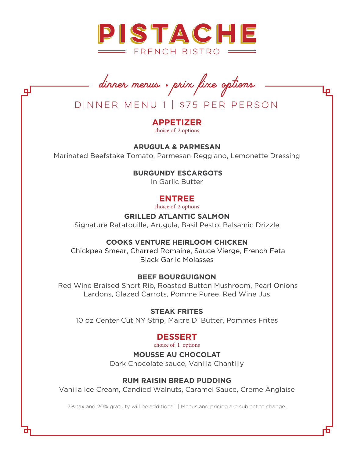

*dinner menus* • *prix fixe options*

DINNER MENU 1 | \$75 PER PERSON

# **APPETIZER**

choice of 2 options

**ARUGULA & PARMESAN** Marinated Beefstake Tomato, Parmesan-Reggiano, Lemonette Dressing

#### **BURGUNDY ESCARGOTS**

In Garlic Butter

# **ENTREE**

choice of 2 options

#### **GRILLED ATLANTIC SALMON**

Signature Ratatouille, Arugula, Basil Pesto, Balsamic Drizzle

#### **COOKS VENTURE HEIRLOOM CHICKEN**

Chickpea Smear, Charred Romaine, Sauce Vierge, French Feta Black Garlic Molasses

#### **BEEF BOURGUIGNON**

 Red Wine Braised Short Rib, Roasted Button Mushroom, Pearl Onions Lardons, Glazed Carrots, Pomme Puree, Red Wine Jus

#### **STEAK FRITES**

10 oz Center Cut NY Strip, Maitre D' Butter, Pommes Frites

# **DESSERT**

choice of 1 options

#### **MOUSSE AU CHOCOLAT**

Dark Chocolate sauce, Vanilla Chantilly

#### **RUM RAISIN BREAD PUDDING**

Vanilla Ice Cream, Candied Walnuts, Caramel Sauce, Creme Anglaise

7% tax and 20% gratuity will be additional | Menus and pricing are subject to change.

цI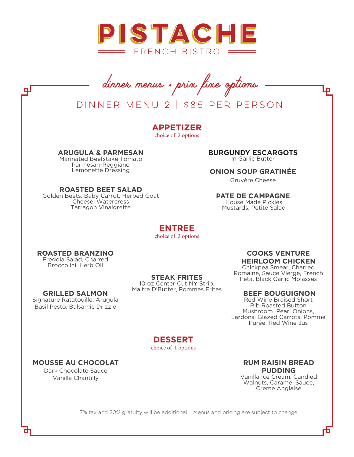

*dinner menus* • *prix fixe options*

# DINNER MENU 2 | \$85 PER PERSON

**APPETIZER** choice of 2 options

**ARUGULA & PARMESAN**

 Marinated Beefstake Tomato Parmesan-Reggiano Lemonette Dressing

**ROASTED BEET SALAD** Golden Beets, Baby Carrot, Herbed Goat Cheese, Watercress Tarragon Vinaigrette

**BURGUNDY ESCARGOTS** In Garlic Butter

#### **ONION SOUP GRATINÉE**

Gruyère Cheese

#### **PATE DE CAMPAGNE**

 House Made Pickles Mustards, Petite Salad

# **ENTREE**

choice of 2 options

#### **ROASTED BRANZINO**

Fregola Salad, Charred Broccolini, Herb Oil

#### **STEAK FRITES**

10 oz Center Cut NY Strip, Maitre D'Butter, Pommes Frites

#### **GRILLED SALMON**

Signature Ratatouille, Arugula Basil Pesto, Balsamic Drizzle

#### **COOKS VENTURE HEIRLOOM CHICKEN**

 $\Box$ 

Chickpea Smear, Charred Romaine, Sauce Vierge, French Feta, Black Garlic Molasses

#### **BEEF BOUGUIGNON**

Red Wine Braised Short Rib Roasted Button Mushroom Pearl Onions, Lardons, Glazed Carrots, Pomme Purée, Red Wine Jus

**DESSERT** choice of 1 options

#### **MOUSSE AU CHOCOLAT**

Dark Chocolate Sauce Vanilla Chantilly

#### **RUM RAISIN BREAD PUDDING** Vanilla Ice Cream, Candied

Walnuts, Caramel Sauce, Creme Anglaise

7% tax and 20% gratuity will be additional | Menus and pricing are subject to change.

<u>ri</u>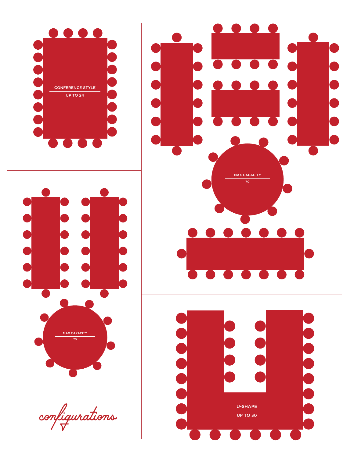